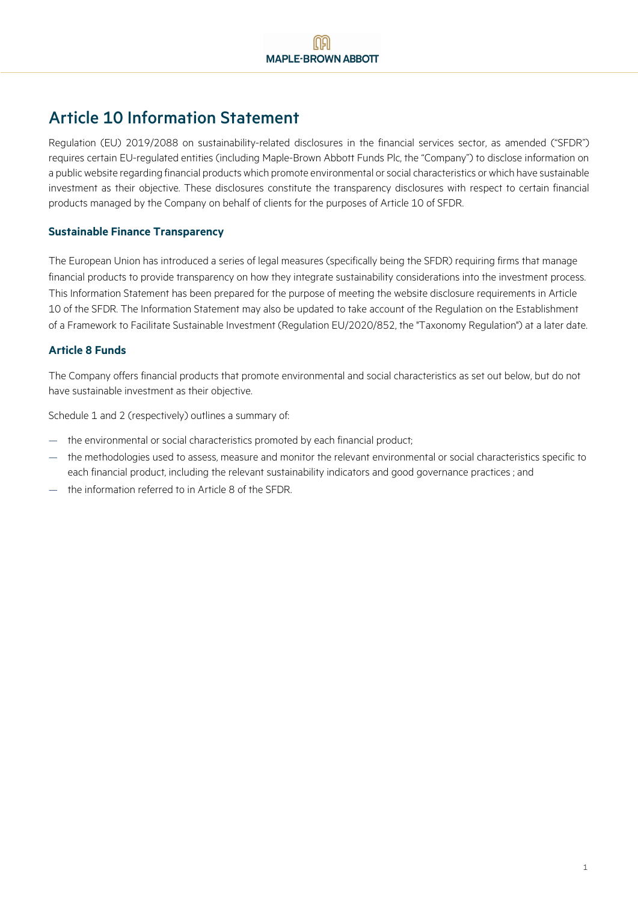# Article 10 Information Statement

Regulation (EU) 2019/2088 on sustainability-related disclosures in the financial services sector, as amended ("SFDR") requires certain EU-regulated entities (including Maple-Brown Abbott Funds Plc, the "Company") to disclose information on a public website regarding financial products which promote environmental or social characteristics or which have sustainable investment as their objective. These disclosures constitute the transparency disclosures with respect to certain financial products managed by the Company on behalf of clients for the purposes of Article 10 of SFDR.

# **Sustainable Finance Transparency**

The European Union has introduced a series of legal measures (specifically being the SFDR) requiring firms that manage financial products to provide transparency on how they integrate sustainability considerations into the investment process. This Information Statement has been prepared for the purpose of meeting the website disclosure requirements in Article 10 of the SFDR. The Information Statement may also be updated to take account of the Regulation on the Establishment of a Framework to Facilitate Sustainable Investment (Regulation EU/2020/852, the "Taxonomy Regulation") at a later date.

# **Article 8 Funds**

The Company offers financial products that promote environmental and social characteristics as set out below, but do not have sustainable investment as their objective.

Schedule 1 and 2 (respectively) outlines a summary of:

- the environmental or social characteristics promoted by each financial product;
- the methodologies used to assess, measure and monitor the relevant environmental or social characteristics specific to each financial product, including the relevant sustainability indicators and good governance practices ; and
- the information referred to in Article 8 of the SFDR.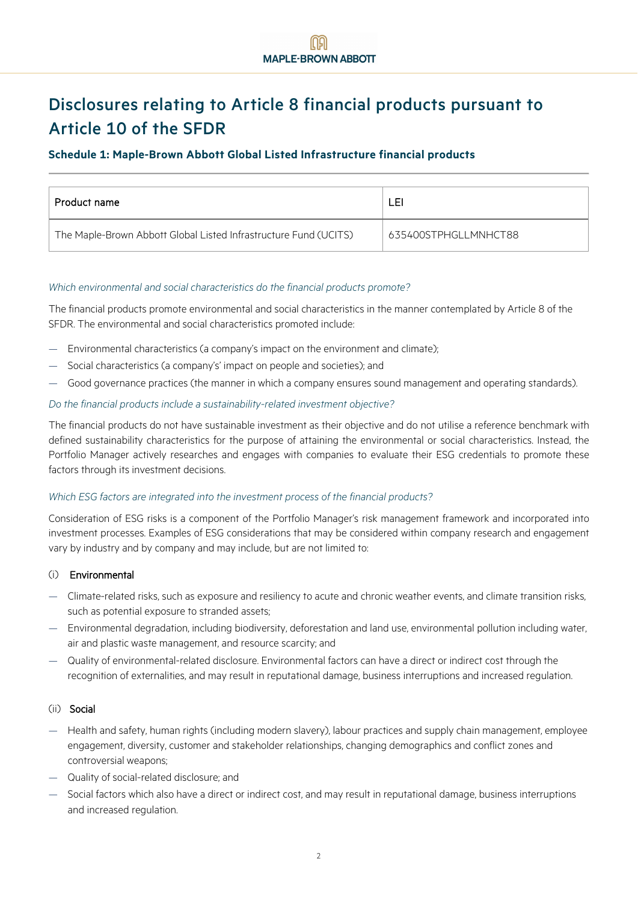# Disclosures relating to Article 8 financial products pursuant to Article 10 of the SFDR

# **Schedule 1: Maple-Brown Abbott Global Listed Infrastructure financial products**

| Product name                                                     | LEI                  |
|------------------------------------------------------------------|----------------------|
| The Maple-Brown Abbott Global Listed Infrastructure Fund (UCITS) | 635400STPHGLLMNHCT88 |

#### *Which environmental and social characteristics do the financial products promote?*

The financial products promote environmental and social characteristics in the manner contemplated by Article 8 of the SFDR. The environmental and social characteristics promoted include:

- Environmental characteristics (a company's impact on the environment and climate);
- Social characteristics (a company's' impact on people and societies); and
- Good governance practices (the manner in which a company ensures sound management and operating standards).

#### *Do the financial products include a sustainability-related investment objective?*

The financial products do not have sustainable investment as their objective and do not utilise a reference benchmark with defined sustainability characteristics for the purpose of attaining the environmental or social characteristics. Instead, the Portfolio Manager actively researches and engages with companies to evaluate their ESG credentials to promote these factors through its investment decisions.

#### *Which ESG factors are integrated into the investment process of the financial products?*

Consideration of ESG risks is a component of the Portfolio Manager's risk management framework and incorporated into investment processes. Examples of ESG considerations that may be considered within company research and engagement vary by industry and by company and may include, but are not limited to:

#### (i) Environmental

- Climate-related risks, such as exposure and resiliency to acute and chronic weather events, and climate transition risks, such as potential exposure to stranded assets;
- Environmental degradation, including biodiversity, deforestation and land use, environmental pollution including water, air and plastic waste management, and resource scarcity; and
- Quality of environmental-related disclosure. Environmental factors can have a direct or indirect cost through the recognition of externalities, and may result in reputational damage, business interruptions and increased regulation.

#### (ii) Social

- Health and safety, human rights (including modern slavery), labour practices and supply chain management, employee engagement, diversity, customer and stakeholder relationships, changing demographics and conflict zones and controversial weapons;
- Quality of social-related disclosure; and
- Social factors which also have a direct or indirect cost, and may result in reputational damage, business interruptions and increased regulation.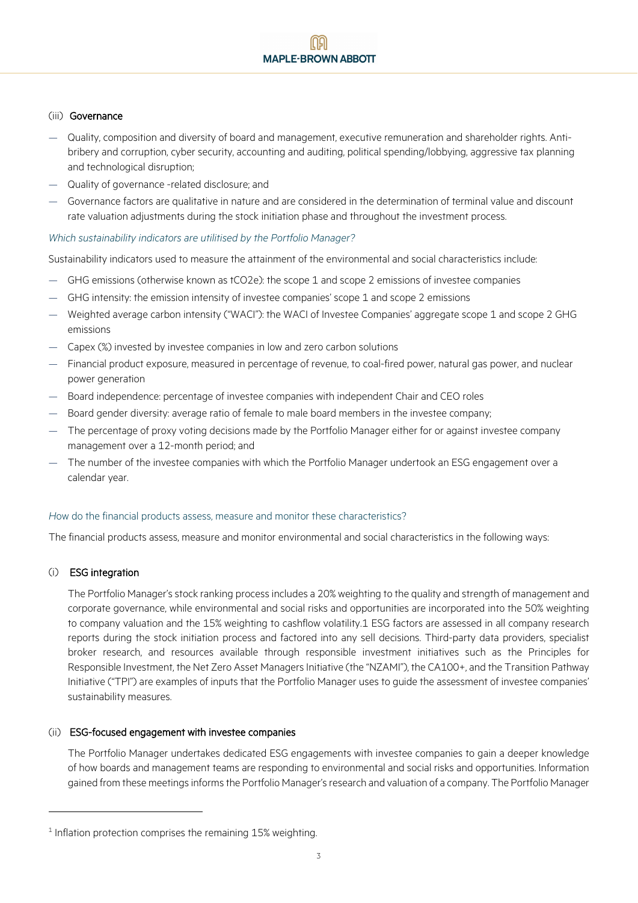#### (iii) Governance

- Quality, composition and diversity of board and management, executive remuneration and shareholder rights. Antibribery and corruption, cyber security, accounting and auditing, political spending/lobbying, aggressive tax planning and technological disruption;
- Quality of governance -related disclosure; and
- Governance factors are qualitative in nature and are considered in the determination of terminal value and discount rate valuation adjustments during the stock initiation phase and throughout the investment process.

#### *Which sustainability indicators are utilitised by the Portfolio Manager?*

Sustainability indicators used to measure the attainment of the environmental and social characteristics include:

- GHG emissions (otherwise known as tCO2e): the scope 1 and scope 2 emissions of investee companies
- GHG intensity: the emission intensity of investee companies' scope 1 and scope 2 emissions
- Weighted average carbon intensity ("WACI"): the WACI of Investee Companies' aggregate scope 1 and scope 2 GHG emissions
- Capex (%) invested by investee companies in low and zero carbon solutions
- Financial product exposure, measured in percentage of revenue, to coal-fired power, natural gas power, and nuclear power generation
- Board independence: percentage of investee companies with independent Chair and CEO roles
- Board gender diversity: average ratio of female to male board members in the investee company;
- The percentage of proxy voting decisions made by the Portfolio Manager either for or against investee company management over a 12-month period; and
- The number of the investee companies with which the Portfolio Manager undertook an ESG engagement over a calendar year.

# *H*ow do the financial products assess, measure and monitor these characteristics?

The financial products assess, measure and monitor environmental and social characteristics in the following ways:

# (i) ESG integration

The Portfolio Manager's stock ranking process includes a 20% weighting to the quality and strength of management and corporate governance, while environmental and social risks and opportunities are incorporated into the 50% weighting to company valuation and the 15% weighting to cashflow volatility.[1](#page-2-0) ESG factors are assessed in all company research reports during the stock initiation process and factored into any sell decisions. Third-party data providers, specialist broker research, and resources available through responsible investment initiatives such as the Principles for Responsible Investment, the Net Zero Asset Managers Initiative (the "NZAMI"), the CA100+, and the Transition Pathway Initiative ("TPI") are examples of inputs that the Portfolio Manager uses to guide the assessment of investee companies' sustainability measures.

# (ii) ESG-focused engagement with investee companies

The Portfolio Manager undertakes dedicated ESG engagements with investee companies to gain a deeper knowledge of how boards and management teams are responding to environmental and social risks and opportunities. Information gained from these meetings informs the Portfolio Manager's research and valuation of a company. The Portfolio Manager

<span id="page-2-0"></span> $1$  Inflation protection comprises the remaining 15% weighting.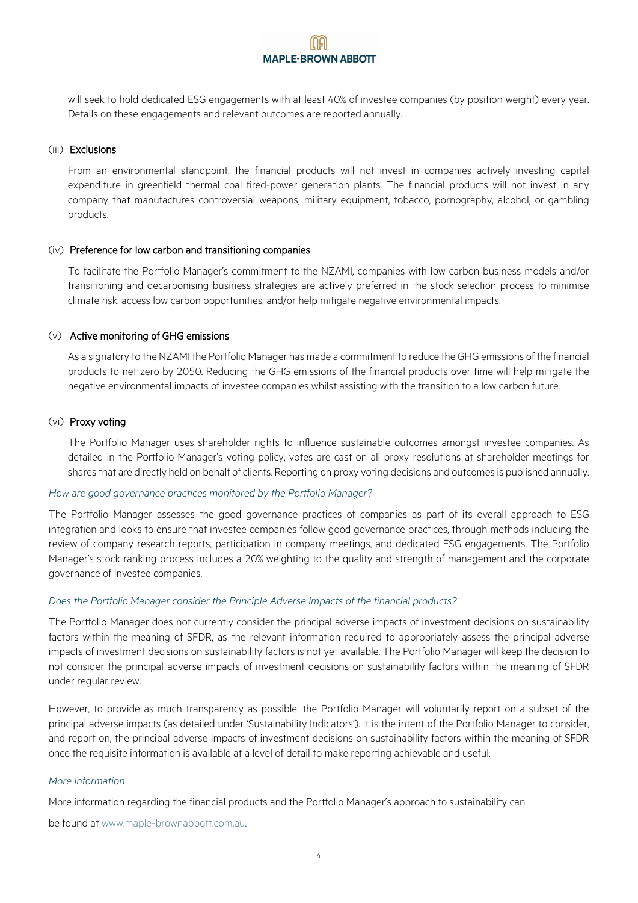will seek to hold dedicated ESG engagements with at least 40% of investee companies (by position weight) every year. Details on these engagements and relevant outcomes are reported annually.

#### (iii) Exclusions

From an environmental standpoint, the financial products will not invest in companies actively investing capital expenditure in greenfield thermal coal fired-power generation plants. The financial products will not invest in any company that manufactures controversial weapons, military equipment, tobacco, pornography, alcohol, or gambling products.

#### (iv) Preference for low carbon and transitioning companies

To facilitate the Portfolio Manager's commitment to the NZAMI, companies with low carbon business models and/or transitioning and decarbonising business strategies are actively preferred in the stock selection process to minimise climate risk, access low carbon opportunities, and/or help mitigate negative environmental impacts.

#### (v) Active monitoring of GHG emissions

As a signatory to the NZAMI the Portfolio Manager has made a commitment to reduce the GHG emissions of the financial products to net zero by 2050. Reducing the GHG emissions of the financial products over time will help mitigate the negative environmental impacts of investee companies whilst assisting with the transition to a low carbon future.

#### (vi) Proxy voting

The Portfolio Manager uses shareholder rights to influence sustainable outcomes amongst investee companies. As detailed in the Portfolio Manager's voting policy, votes are cast on all proxy resolutions at shareholder meetings for shares that are directly held on behalf of clients. Reporting on proxy voting decisions and outcomes is published annually.

#### *How are good governance practices monitored by the Portfolio Manager?*

The Portfolio Manager assesses the good governance practices of companies as part of its overall approach to ESG integration and looks to ensure that investee companies follow good governance practices, through methods including the review of company research reports, participation in company meetings, and dedicated ESG engagements. The Portfolio Manager's stock ranking process includes a 20% weighting to the quality and strength of management and the corporate governance of investee companies.

#### *Does the Portfolio Manager consider the Principle Adverse Impacts of the financial products?*

The Portfolio Manager does not currently consider the principal adverse impacts of investment decisions on sustainability factors within the meaning of SFDR, as the relevant information required to appropriately assess the principal adverse impacts of investment decisions on sustainability factors is not yet available. The Portfolio Manager will keep the decision to not consider the principal adverse impacts of investment decisions on sustainability factors within the meaning of SFDR under regular review.

However, to provide as much transparency as possible, the Portfolio Manager will voluntarily report on a subset of the principal adverse impacts (as detailed under 'Sustainability Indicators'). It is the intent of the Portfolio Manager to consider, and report on, the principal adverse impacts of investment decisions on sustainability factors within the meaning of SFDR once the requisite information is available at a level of detail to make reporting achievable and useful.

#### *More Information*

More information regarding the financial products and the Portfolio Manager's approach to sustainability can

be found at [www.maple-brownabbott.com.au.](http://www.maple-brownabbott.com.au/)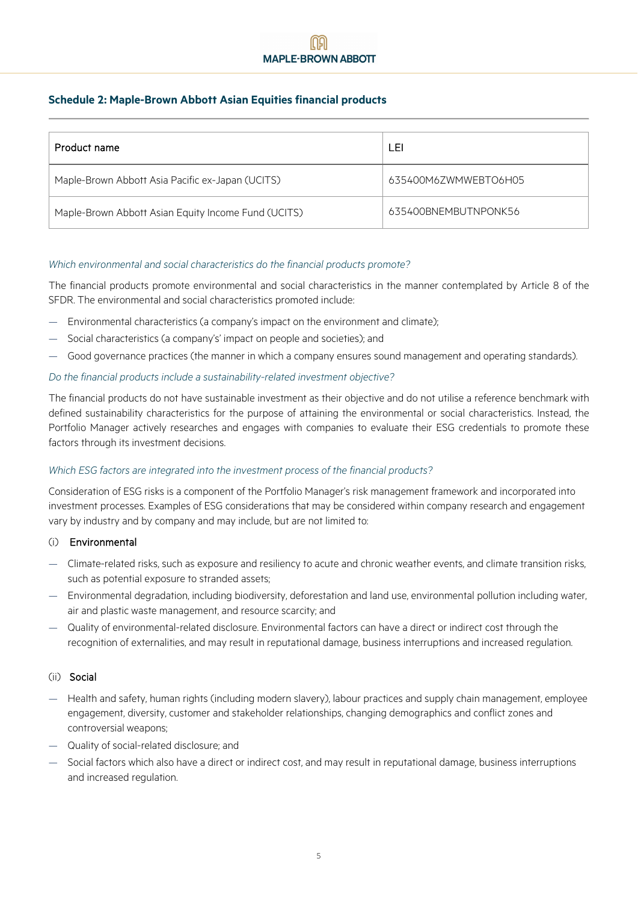# **Schedule 2: Maple-Brown Abbott Asian Equities financial products**

| Product name                                        | LEI                  |
|-----------------------------------------------------|----------------------|
| Maple-Brown Abbott Asia Pacific ex-Japan (UCITS)    | 635400M6ZWMWEBTO6H05 |
| Maple-Brown Abbott Asian Equity Income Fund (UCITS) | 635400BNEMBUTNPONK56 |

# *Which environmental and social characteristics do the financial products promote?*

The financial products promote environmental and social characteristics in the manner contemplated by Article 8 of the SFDR. The environmental and social characteristics promoted include:

- Environmental characteristics (a company's impact on the environment and climate);
- Social characteristics (a company's' impact on people and societies); and
- Good governance practices (the manner in which a company ensures sound management and operating standards).

#### *Do the financial products include a sustainability-related investment objective?*

The financial products do not have sustainable investment as their objective and do not utilise a reference benchmark with defined sustainability characteristics for the purpose of attaining the environmental or social characteristics. Instead, the Portfolio Manager actively researches and engages with companies to evaluate their ESG credentials to promote these factors through its investment decisions.

#### *Which ESG factors are integrated into the investment process of the financial products?*

Consideration of ESG risks is a component of the Portfolio Manager's risk management framework and incorporated into investment processes. Examples of ESG considerations that may be considered within company research and engagement vary by industry and by company and may include, but are not limited to:

#### (i) Environmental

- Climate-related risks, such as exposure and resiliency to acute and chronic weather events, and climate transition risks, such as potential exposure to stranded assets;
- Environmental degradation, including biodiversity, deforestation and land use, environmental pollution including water, air and plastic waste management, and resource scarcity; and
- Quality of environmental-related disclosure. Environmental factors can have a direct or indirect cost through the recognition of externalities, and may result in reputational damage, business interruptions and increased regulation.

#### (ii) Social

- Health and safety, human rights (including modern slavery), labour practices and supply chain management, employee engagement, diversity, customer and stakeholder relationships, changing demographics and conflict zones and controversial weapons;
- Quality of social-related disclosure; and
- Social factors which also have a direct or indirect cost, and may result in reputational damage, business interruptions and increased regulation.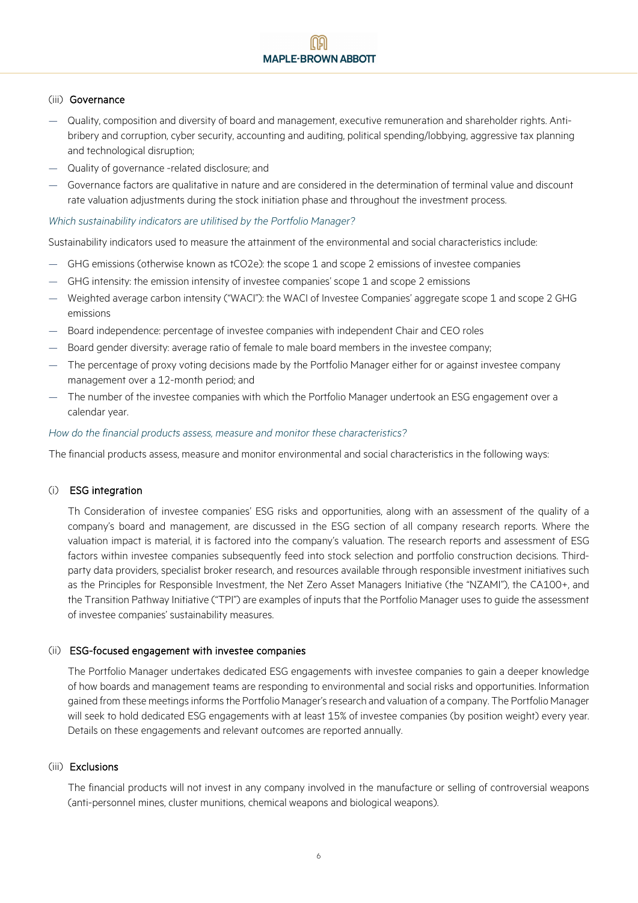#### (iii) Governance

- Quality, composition and diversity of board and management, executive remuneration and shareholder rights. Antibribery and corruption, cyber security, accounting and auditing, political spending/lobbying, aggressive tax planning and technological disruption;
- Quality of governance -related disclosure; and
- Governance factors are qualitative in nature and are considered in the determination of terminal value and discount rate valuation adjustments during the stock initiation phase and throughout the investment process.

#### *Which sustainability indicators are utilitised by the Portfolio Manager?*

Sustainability indicators used to measure the attainment of the environmental and social characteristics include:

- GHG emissions (otherwise known as tCO2e): the scope 1 and scope 2 emissions of investee companies
- GHG intensity: the emission intensity of investee companies' scope 1 and scope 2 emissions
- Weighted average carbon intensity ("WACI"): the WACI of Investee Companies' aggregate scope 1 and scope 2 GHG emissions
- Board independence: percentage of investee companies with independent Chair and CEO roles
- Board gender diversity: average ratio of female to male board members in the investee company;
- The percentage of proxy voting decisions made by the Portfolio Manager either for or against investee company management over a 12-month period; and
- The number of the investee companies with which the Portfolio Manager undertook an ESG engagement over a calendar year.

#### *How do the financial products assess, measure and monitor these characteristics?*

The financial products assess, measure and monitor environmental and social characteristics in the following ways:

# (i) ESG integration

Th Consideration of investee companies' ESG risks and opportunities, along with an assessment of the quality of a company's board and management, are discussed in the ESG section of all company research reports. Where the valuation impact is material, it is factored into the company's valuation. The research reports and assessment of ESG factors within investee companies subsequently feed into stock selection and portfolio construction decisions. Thirdparty data providers, specialist broker research, and resources available through responsible investment initiatives such as the Principles for Responsible Investment, the Net Zero Asset Managers Initiative (the "NZAMI"), the CA100+, and the Transition Pathway Initiative ("TPI") are examples of inputs that the Portfolio Manager uses to guide the assessment of investee companies' sustainability measures.

#### (ii) ESG-focused engagement with investee companies

The Portfolio Manager undertakes dedicated ESG engagements with investee companies to gain a deeper knowledge of how boards and management teams are responding to environmental and social risks and opportunities. Information gained from these meetings informs the Portfolio Manager's research and valuation of a company. The Portfolio Manager will seek to hold dedicated ESG engagements with at least 15% of investee companies (by position weight) every year. Details on these engagements and relevant outcomes are reported annually.

#### (iii) Exclusions

The financial products will not invest in any company involved in the manufacture or selling of controversial weapons (anti-personnel mines, cluster munitions, chemical weapons and biological weapons).